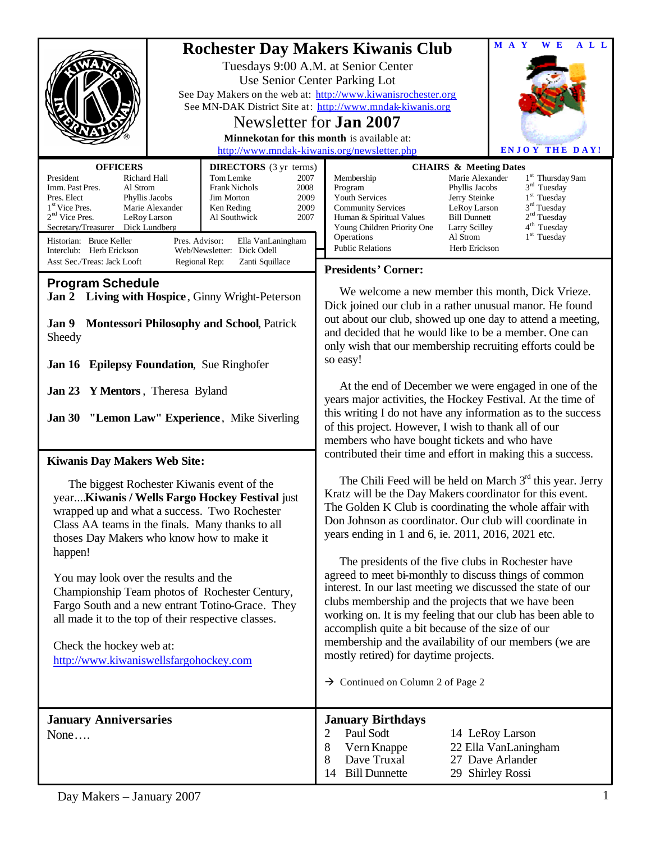|                                                                                                                                                                                                                                                                                               |                                                                                                                                                                                                                                                                                                                                                                               |                                                                                                                                                                                                                                                                                                                                                                                                                                                                                                           |                                                                                                                                         | A L L<br>M A Y<br>W E                                                                                                                                                      |
|-----------------------------------------------------------------------------------------------------------------------------------------------------------------------------------------------------------------------------------------------------------------------------------------------|-------------------------------------------------------------------------------------------------------------------------------------------------------------------------------------------------------------------------------------------------------------------------------------------------------------------------------------------------------------------------------|-----------------------------------------------------------------------------------------------------------------------------------------------------------------------------------------------------------------------------------------------------------------------------------------------------------------------------------------------------------------------------------------------------------------------------------------------------------------------------------------------------------|-----------------------------------------------------------------------------------------------------------------------------------------|----------------------------------------------------------------------------------------------------------------------------------------------------------------------------|
|                                                                                                                                                                                                                                                                                               | <b>Rochester Day Makers Kiwanis Club</b><br>Tuesdays 9:00 A.M. at Senior Center<br>Use Senior Center Parking Lot<br>See Day Makers on the web at: http://www.kiwanisrochester.org<br>See MN-DAK District Site at: http://www.mndak-kiwanis.org<br>Newsletter for <b>Jan 2007</b><br>Minnekotan for this month is available at:<br>http://www.mndak-kiwanis.org/newsletter.php |                                                                                                                                                                                                                                                                                                                                                                                                                                                                                                           |                                                                                                                                         | <b>ENJOY THE DAY!</b>                                                                                                                                                      |
| <b>CHAIRS &amp; Meeting Dates</b>                                                                                                                                                                                                                                                             |                                                                                                                                                                                                                                                                                                                                                                               |                                                                                                                                                                                                                                                                                                                                                                                                                                                                                                           |                                                                                                                                         |                                                                                                                                                                            |
| <b>OFFICERS</b><br>President<br>Richard Hall<br>Imm. Past Pres.<br>Al Strom<br>Pres. Elect<br>Phyllis Jacobs<br>1 <sup>st</sup> Vice Pres.<br>Marie Alexander<br>$2nd$ Vice Pres.<br>LeRoy Larson<br>Secretary/Treasurer Dick Lundberg<br>Historian: Bruce Keller<br>Interclub: Herb Erickson | <b>DIRECTORS</b> (3 yr terms)<br>Tom Lemke<br>2007<br>Frank Nichols<br>2008<br>Jim Morton<br>2009<br>2009<br>Ken Reding<br>Al Southwick<br>2007<br>Pres. Advisor:<br>Ella VanLaningham<br>Web/Newsletter: Dick Odell                                                                                                                                                          | Membership<br>Program<br>Youth Services<br><b>Community Services</b><br>Human & Spiritual Values<br>Young Children Priority One<br>Operations<br><b>Public Relations</b>                                                                                                                                                                                                                                                                                                                                  | Marie Alexander<br>Phyllis Jacobs<br>Jerry Steinke<br>LeRoy Larson<br><b>Bill Dunnett</b><br>Larry Scilley<br>Al Strom<br>Herb Erickson | 1 <sup>st</sup> Thursday 9am<br>$3rd$ Tuesday<br>1 <sup>st</sup> Tuesday<br>3 <sup>rd</sup> Tuesday<br>2 <sup>nd</sup> Tuesday<br>4 <sup>th</sup> Tuesday<br>$1st$ Tuesday |
| Asst Sec./Treas: Jack Looft<br>Regional Rep:<br>Zanti Squillace                                                                                                                                                                                                                               |                                                                                                                                                                                                                                                                                                                                                                               | <b>Presidents' Corner:</b>                                                                                                                                                                                                                                                                                                                                                                                                                                                                                |                                                                                                                                         |                                                                                                                                                                            |
| <b>Program Schedule</b><br>Jan 2 Living with Hospice, Ginny Wright-Peterson<br><b>Jan 9 Montessori Philosophy and School, Patrick</b><br>Sheedy<br>Jan 16 Epilepsy Foundation, Sue Ringhofer                                                                                                  |                                                                                                                                                                                                                                                                                                                                                                               | We welcome a new member this month, Dick Vrieze.<br>Dick joined our club in a rather unusual manor. He found<br>out about our club, showed up one day to attend a meeting,<br>and decided that he would like to be a member. One can<br>only wish that our membership recruiting efforts could be<br>so easy!                                                                                                                                                                                             |                                                                                                                                         |                                                                                                                                                                            |
| Jan 23 Y Mentors, Theresa Byland<br><b>Jan 30 "Lemon Law" Experience</b> , Mike Siverling                                                                                                                                                                                                     |                                                                                                                                                                                                                                                                                                                                                                               | At the end of December we were engaged in one of the<br>years major activities, the Hockey Festival. At the time of<br>this writing I do not have any information as to the success<br>of this project. However, I wish to thank all of our<br>members who have bought tickets and who have                                                                                                                                                                                                               |                                                                                                                                         |                                                                                                                                                                            |
| <b>Kiwanis Day Makers Web Site:</b>                                                                                                                                                                                                                                                           |                                                                                                                                                                                                                                                                                                                                                                               | contributed their time and effort in making this a success.                                                                                                                                                                                                                                                                                                                                                                                                                                               |                                                                                                                                         |                                                                                                                                                                            |
| The biggest Rochester Kiwanis event of the<br>year Kiwanis / Wells Fargo Hockey Festival just<br>wrapped up and what a success. Two Rochester<br>Class AA teams in the finals. Many thanks to all<br>thoses Day Makers who know how to make it                                                |                                                                                                                                                                                                                                                                                                                                                                               | The Chili Feed will be held on March $3rd$ this year. Jerry<br>Kratz will be the Day Makers coordinator for this event.<br>The Golden K Club is coordinating the whole affair with<br>Don Johnson as coordinator. Our club will coordinate in<br>years ending in 1 and 6, ie. 2011, 2016, 2021 etc.                                                                                                                                                                                                       |                                                                                                                                         |                                                                                                                                                                            |
| happen!<br>You may look over the results and the<br>Championship Team photos of Rochester Century,<br>Fargo South and a new entrant Totino-Grace. They<br>all made it to the top of their respective classes.<br>Check the hockey web at:<br>http://www.kiwaniswellsfargohockey.com           |                                                                                                                                                                                                                                                                                                                                                                               | The presidents of the five clubs in Rochester have<br>agreed to meet bi-monthly to discuss things of common<br>interest. In our last meeting we discussed the state of our<br>clubs membership and the projects that we have been<br>working on. It is my feeling that our club has been able to<br>accomplish quite a bit because of the size of our<br>membership and the availability of our members (we are<br>mostly retired) for daytime projects.<br>$\rightarrow$ Continued on Column 2 of Page 2 |                                                                                                                                         |                                                                                                                                                                            |
| <b>January Anniversaries</b><br>None                                                                                                                                                                                                                                                          |                                                                                                                                                                                                                                                                                                                                                                               | <b>January Birthdays</b><br>Paul Sodt<br>$\overline{2}$<br>8<br>Vern Knappe<br>Dave Truxal<br>8<br><b>Bill Dunnette</b><br>14                                                                                                                                                                                                                                                                                                                                                                             |                                                                                                                                         | 14 LeRoy Larson<br>22 Ella VanLaningham<br>27 Dave Arlander<br>29 Shirley Rossi                                                                                            |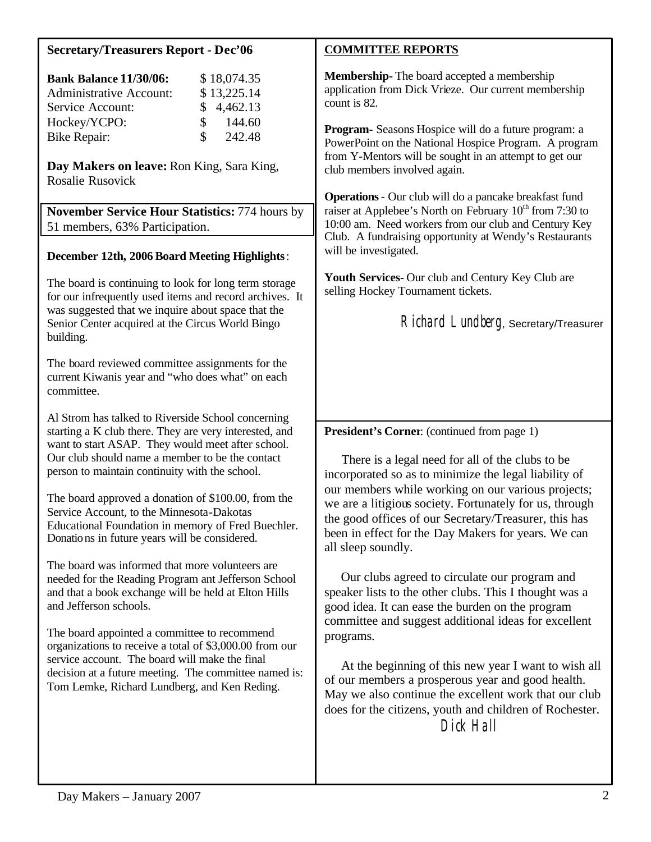# **Secretary/Treasurers Report - Dec'06**

| <b>Bank Balance 11/30/06:</b>  |               | \$18,074.35 |
|--------------------------------|---------------|-------------|
| <b>Administrative Account:</b> |               | \$13,225.14 |
| Service Account:               |               | \$4,462.13  |
| Hockey/YCPO:                   | $\mathcal{S}$ | 144.60      |
| <b>Bike Repair:</b>            | S.            | 242.48      |

**Day Makers on leave:** Ron King, Sara King, Rosalie Rusovick

**November Service Hour Statistics:** 774 hours by 51 members, 63% Participation.

#### **December 12th, 2006 Board Meeting Highlights**:

The board is continuing to look for long term storage for our infrequently used items and record archives. It was suggested that we inquire about space that the Senior Center acquired at the Circus World Bingo building.

The board reviewed committee assignments for the current Kiwanis year and "who does what" on each committee.

Al Strom has talked to Riverside School concerning starting a K club there. They are very interested, and want to start ASAP. They would meet after school. Our club should name a member to be the contact person to maintain continuity with the school.

The board approved a donation of \$100.00, from the Service Account, to the Minnesota-Dakotas Educational Foundation in memory of Fred Buechler. Donations in future years will be considered.

The board was informed that more volunteers are needed for the Reading Program ant Jefferson School and that a book exchange will be held at Elton Hills and Jefferson schools.

The board appointed a committee to recommend organizations to receive a total of \$3,000.00 from our service account. The board will make the final decision at a future meeting. The committee named is: Tom Lemke, Richard Lundberg, and Ken Reding.

### **COMMITTEE REPORTS**

**Membership-** The board accepted a membership application from Dick Vrieze. Our current membership count is 82.

**Program-** Seasons Hospice will do a future program: a PowerPoint on the National Hospice Program. A program from Y-Mentors will be sought in an attempt to get our club members involved again.

**Operations**- Our club will do a pancake breakfast fund raiser at Applebee's North on February  $10^{th}$  from 7:30 to 10:00 am. Need workers from our club and Century Key Club. A fundraising opportunity at Wendy's Restaurants will be investigated.

**Youth Services-** Our club and Century Key Club are selling Hockey Tournament tickets.

Richard Lundberg, Secretary/Treasurer

**President's Corner**: (continued from page 1)

 There is a legal need for all of the clubs to be incorporated so as to minimize the legal liability of our members while working on our various projects; we are a litigious society. Fortunately for us, through the good offices of our Secretary/Treasurer, this has been in effect for the Day Makers for years. We can all sleep soundly.

 Our clubs agreed to circulate our program and speaker lists to the other clubs. This I thought was a good idea. It can ease the burden on the program committee and suggest additional ideas for excellent programs.

 At the beginning of this new year I want to wish all of our members a prosperous year and good health. May we also continue the excellent work that our club does for the citizens, youth and children of Rochester. Dick Hall